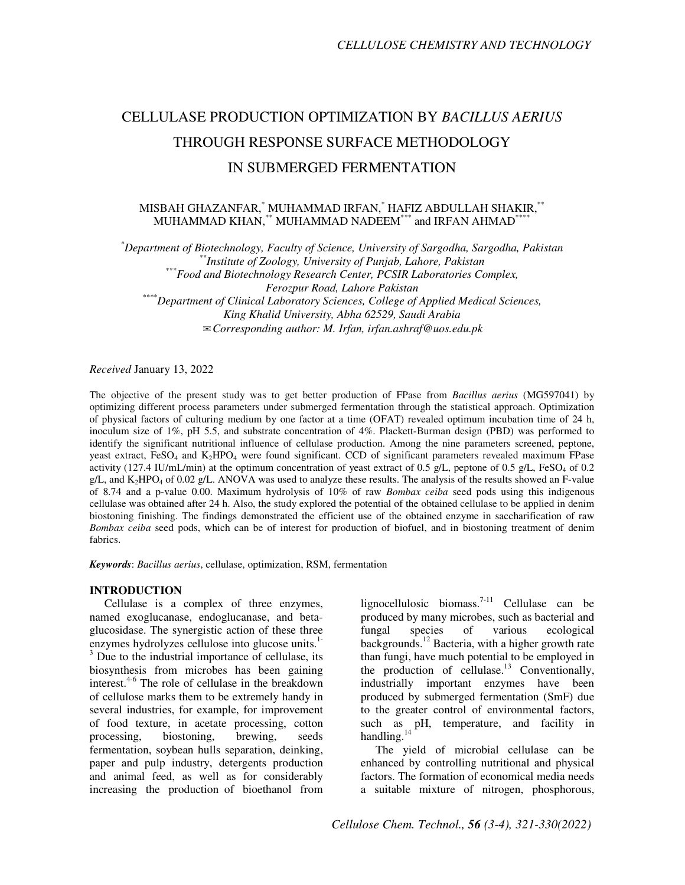# CELLULASE PRODUCTION OPTIMIZATION BY *BACILLUS AERIUS* THROUGH RESPONSE SURFACE METHODOLOGY IN SUBMERGED FERMENTATION

# MISBAH GHAZANFAR,\* MUHAMMAD IRFAN,\* HAFIZ ABDULLAH SHAKIR,\*\* MUHAMMAD KHAN,\*\* MUHAMMAD NADEEM\*\*\* and IRFAN AHMAD\*

*\*Department of Biotechnology, Faculty of Science, University of Sargodha, Sargodha, Pakistan \*\*Institute of Zoology, University of Punjab, Lahore, Pakistan \*\*\*Food and Biotechnology Research Center, PCSIR Laboratories Complex, Ferozpur Road, Lahore Pakistan \*\*\*\*Department of Clinical Laboratory Sciences, College of Applied Medical Sciences, King Khalid University, Abha 62529, Saudi Arabia*  ✉*Corresponding author: M. Irfan, irfan.ashraf@uos.edu.pk* 

*Received* January 13, 2022

The objective of the present study was to get better production of FPase from *Bacillus aerius* (MG597041) by optimizing different process parameters under submerged fermentation through the statistical approach. Optimization of physical factors of culturing medium by one factor at a time (OFAT) revealed optimum incubation time of 24 h, inoculum size of 1%, pH 5.5, and substrate concentration of 4%. Plackett-Burman design (PBD) was performed to identify the significant nutritional influence of cellulase production. Among the nine parameters screened, peptone, yeast extract, FeSO<sub>4</sub> and K<sub>2</sub>HPO<sub>4</sub> were found significant. CCD of significant parameters revealed maximum FPase activity (127.4 IU/mL/min) at the optimum concentration of yeast extract of 0.5 g/L, peptone of 0.5 g/L, FeSO<sub>4</sub> of 0.2  $g/L$ , and  $K_2HPO_4$  of 0.02  $g/L$ . ANOVA was used to analyze these results. The analysis of the results showed an F-value of 8.74 and a p-value 0.00. Maximum hydrolysis of 10% of raw *Bombax ceiba* seed pods using this indigenous cellulase was obtained after 24 h. Also, the study explored the potential of the obtained cellulase to be applied in denim biostoning finishing. The findings demonstrated the efficient use of the obtained enzyme in saccharification of raw *Bombax ceiba* seed pods, which can be of interest for production of biofuel, and in biostoning treatment of denim fabrics.

*Keywords*: *Bacillus aerius*, cellulase, optimization, RSM, fermentation

#### **INTRODUCTION**

Cellulase is a complex of three enzymes, named exoglucanase, endoglucanase, and betaglucosidase. The synergistic action of these three enzymes hydrolyzes cellulose into glucose units. $1$ -<sup>3</sup> Due to the industrial importance of cellulase, its biosynthesis from microbes has been gaining interest.<sup>4-6</sup> The role of cellulase in the breakdown of cellulose marks them to be extremely handy in several industries, for example, for improvement of food texture, in acetate processing, cotton processing, biostoning, brewing, seeds fermentation, soybean hulls separation, deinking, paper and pulp industry, detergents production and animal feed, as well as for considerably increasing the production of bioethanol from

lignocellulosic biomass.<sup>7-11</sup> Cellulase can be produced by many microbes, such as bacterial and fungal species of various ecological backgrounds.<sup>12</sup> Bacteria, with a higher growth rate than fungi, have much potential to be employed in the production of cellulase.<sup>13</sup> Conventionally, industrially important enzymes have been produced by submerged fermentation (SmF) due to the greater control of environmental factors, such as pH, temperature, and facility in handling.<sup>14</sup>

The yield of microbial cellulase can be enhanced by controlling nutritional and physical factors. The formation of economical media needs a suitable mixture of nitrogen, phosphorous,

*Cellulose Chem. Technol., 56 (3-4), 321-330(2022)*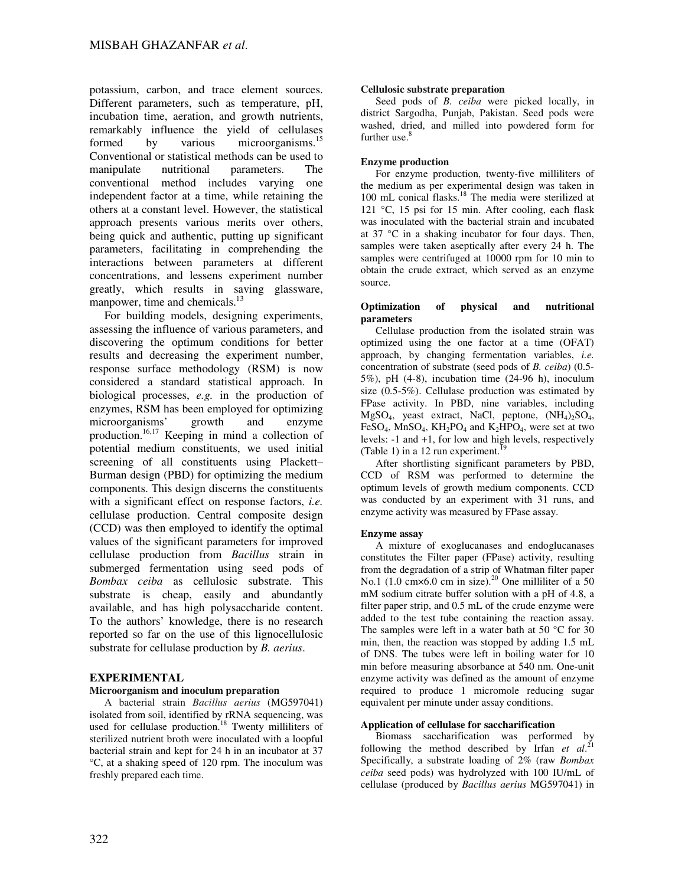potassium, carbon, and trace element sources. Different parameters, such as temperature, pH, incubation time, aeration, and growth nutrients, remarkably influence the yield of cellulases formed by various microorganisms.<sup>15</sup> Conventional or statistical methods can be used to manipulate nutritional parameters. The conventional method includes varying one independent factor at a time, while retaining the others at a constant level. However, the statistical approach presents various merits over others, being quick and authentic, putting up significant parameters, facilitating in comprehending the interactions between parameters at different concentrations, and lessens experiment number greatly, which results in saving glassware, manpower, time and chemicals.<sup>13</sup>

For building models, designing experiments, assessing the influence of various parameters, and discovering the optimum conditions for better results and decreasing the experiment number, response surface methodology (RSM) is now considered a standard statistical approach. In biological processes, *e.g.* in the production of enzymes, RSM has been employed for optimizing microorganisms' growth and enzyme production.<sup>16,17</sup> Keeping in mind a collection of potential medium constituents, we used initial screening of all constituents using Plackett– Burman design (PBD) for optimizing the medium components. This design discerns the constituents with a significant effect on response factors, *i.e.* cellulase production. Central composite design (CCD) was then employed to identify the optimal values of the significant parameters for improved cellulase production from *Bacillus* strain in submerged fermentation using seed pods of *Bombax ceiba* as cellulosic substrate. This substrate is cheap, easily and abundantly available, and has high polysaccharide content. To the authors' knowledge, there is no research reported so far on the use of this lignocellulosic substrate for cellulase production by *B. aerius*.

# **EXPERIMENTAL**

#### **Microorganism and inoculum preparation**

A bacterial strain *Bacillus aerius* (MG597041) isolated from soil, identified by rRNA sequencing, was used for cellulase production.<sup>18</sup> Twenty milliliters of sterilized nutrient broth were inoculated with a loopful bacterial strain and kept for 24 h in an incubator at 37 °C, at a shaking speed of 120 rpm. The inoculum was freshly prepared each time.

#### **Cellulosic substrate preparation**

Seed pods of *B. ceiba* were picked locally, in district Sargodha, Punjab, Pakistan. Seed pods were washed, dried, and milled into powdered form for further use.<sup>8</sup>

#### **Enzyme production**

For enzyme production, twenty-five milliliters of the medium as per experimental design was taken in 100 mL conical flasks.<sup>18</sup> The media were sterilized at 121 °C, 15 psi for 15 min. After cooling, each flask was inoculated with the bacterial strain and incubated at 37 °C in a shaking incubator for four days. Then, samples were taken aseptically after every 24 h. The samples were centrifuged at 10000 rpm for 10 min to obtain the crude extract, which served as an enzyme source.

#### **Optimization of physical and nutritional parameters**

Cellulase production from the isolated strain was optimized using the one factor at a time (OFAT) approach, by changing fermentation variables, *i.e.* concentration of substrate (seed pods of *B. ceiba*) (0.5- 5%), pH (4-8), incubation time (24-96 h), inoculum size (0.5-5%). Cellulase production was estimated by FPase activity. In PBD, nine variables, including  $MgSO<sub>4</sub>$ , yeast extract, NaCl, peptone,  $(NH<sub>4</sub>)<sub>2</sub>SO<sub>4</sub>$ , FeSO<sub>4</sub>, MnSO<sub>4</sub>, KH<sub>2</sub>PO<sub>4</sub> and K<sub>2</sub>HPO<sub>4</sub>, were set at two levels: -1 and +1, for low and high levels, respectively (Table 1) in a 12 run experiment.<sup>19</sup>

After shortlisting significant parameters by PBD, CCD of RSM was performed to determine the optimum levels of growth medium components. CCD was conducted by an experiment with 31 runs, and enzyme activity was measured by FPase assay.

#### **Enzyme assay**

A mixture of exoglucanases and endoglucanases constitutes the Filter paper (FPase) activity, resulting from the degradation of a strip of Whatman filter paper No.1 (1.0 cm $\times$ 6.0 cm in size).<sup>20</sup> One milliliter of a 50 mM sodium citrate buffer solution with a pH of 4.8, a filter paper strip, and 0.5 mL of the crude enzyme were added to the test tube containing the reaction assay. The samples were left in a water bath at 50  $^{\circ}$ C for 30 min, then, the reaction was stopped by adding 1.5 mL of DNS. The tubes were left in boiling water for 10 min before measuring absorbance at 540 nm. One-unit enzyme activity was defined as the amount of enzyme required to produce 1 micromole reducing sugar equivalent per minute under assay conditions.

#### **Application of cellulase for saccharification**

Biomass saccharification was performed by following the method described by Irfan *et al*. 21 Specifically, a substrate loading of 2% (raw *Bombax ceiba* seed pods) was hydrolyzed with 100 IU/mL of cellulase (produced by *Bacillus aerius* MG597041) in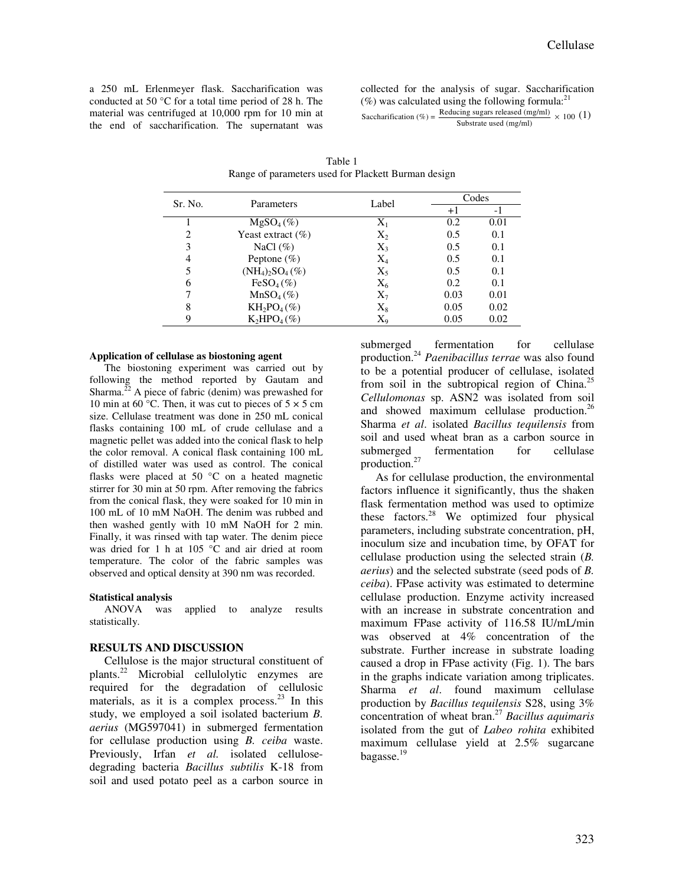a 250 mL Erlenmeyer flask. Saccharification was conducted at 50 °C for a total time period of 28 h. The material was centrifuged at 10,000 rpm for 10 min at the end of saccharification. The supernatant was collected for the analysis of sugar. Saccharification  $(\%)$  was calculated using the following formula:<sup>21</sup> Saccharification (%) =  $\frac{\text{Reducing suggests released (mg/ml)}}{\text{S} \cdot \text{R} \cdot \text{S} \cdot \text{R} \cdot \text{R} \cdot \text{R} \cdot \text{R} \cdot \text{R} \cdot \text{R} \cdot \text{R} \cdot \text{R} \cdot \text{R} \cdot \text{R} \cdot \text{R} \cdot \text{R} \cdot \text{R} \cdot \text{R} \cdot \text{R} \cdot \text{R} \cdot \text{R} \cdot \text{R} \cdot \text{R} \cdot \text{R} \cdot \text{R} \cdot \text{R} \cdot \text{R} \cdot \text$ Substrate used (mg/ml)

| Sr. No.                     | Parameters            | Label     | Codes |      |  |
|-----------------------------|-----------------------|-----------|-------|------|--|
|                             |                       |           | $+1$  | - 1  |  |
|                             | $MgSO_4(\%)$          | $\rm X_1$ | 0.2   | 0.01 |  |
| $\mathcal{D}_{\mathcal{L}}$ | Yeast extract $(\% )$ | $\rm X_2$ | 0.5   | 0.1  |  |
| 3                           | NaCl $(\%)$           | $X_3$     | 0.5   | 0.1  |  |
| 4                           | Peptone $(\%)$        | $\rm X_4$ | 0.5   | 0.1  |  |
|                             | $(NH_4)_2SO_4(\%)$    | $X_5$     | 0.5   | 0.1  |  |
| 6                           | $FeSO4(\%)$           | $\rm X_6$ | 0.2   | 0.1  |  |
|                             | $MnSO4(\%)$           | $\Chi_7$  | 0.03  | 0.01 |  |
| 8                           | $KH_2PO_4(\%)$        | $\rm X_8$ | 0.05  | 0.02 |  |
|                             | $K_2HPO4(\%)$         | $\rm X_o$ | 0.05  | 0.02 |  |

Table 1 Range of parameters used for Plackett Burman design

#### **Application of cellulase as biostoning agent**

The biostoning experiment was carried out by following the method reported by Gautam and Sharma.<sup>22</sup> A piece of fabric (denim) was prewashed for 10 min at 60 °C. Then, it was cut to pieces of  $5 \times 5$  cm size. Cellulase treatment was done in 250 mL conical flasks containing 100 mL of crude cellulase and a magnetic pellet was added into the conical flask to help the color removal. A conical flask containing 100 mL of distilled water was used as control. The conical flasks were placed at 50 °C on a heated magnetic stirrer for 30 min at 50 rpm. After removing the fabrics from the conical flask, they were soaked for 10 min in 100 mL of 10 mM NaOH. The denim was rubbed and then washed gently with 10 mM NaOH for 2 min. Finally, it was rinsed with tap water. The denim piece was dried for 1 h at 105 °C and air dried at room temperature. The color of the fabric samples was observed and optical density at 390 nm was recorded.

# **Statistical analysis**

applied to analyze results statistically.

#### **RESULTS AND DISCUSSION**

Cellulose is the major structural constituent of plants.<sup>22</sup> Microbial cellulolytic enzymes are required for the degradation of cellulosic materials, as it is a complex process. $23$  In this study, we employed a soil isolated bacterium *B. aerius* (MG597041) in submerged fermentation for cellulase production using *B. ceiba* waste. Previously, Irfan *et al.* isolated cellulosedegrading bacteria *Bacillus subtilis* K-18 from soil and used potato peel as a carbon source in

submerged fermentation for cellulase production.<sup>24</sup> *Paenibacillus terrae* was also found to be a potential producer of cellulase, isolated from soil in the subtropical region of China.<sup>25</sup> *Cellulomonas* sp. ASN2 was isolated from soil and showed maximum cellulase production.<sup>26</sup> Sharma *et al*. isolated *Bacillus tequilensis* from soil and used wheat bran as a carbon source in submerged fermentation for cellulase production.<sup>27</sup>

As for cellulase production, the environmental factors influence it significantly, thus the shaken flask fermentation method was used to optimize these factors.<sup>28</sup> We optimized four physical parameters, including substrate concentration, pH, inoculum size and incubation time, by OFAT for cellulase production using the selected strain (*B. aerius*) and the selected substrate (seed pods of *B. ceiba*). FPase activity was estimated to determine cellulase production. Enzyme activity increased with an increase in substrate concentration and maximum FPase activity of 116.58 IU/mL/min was observed at 4% concentration of the substrate. Further increase in substrate loading caused a drop in FPase activity (Fig. 1). The bars in the graphs indicate variation among triplicates. Sharma *et al*. found maximum cellulase production by *Bacillus tequilensis* S28, using 3% concentration of wheat bran.<sup>27</sup> *Bacillus aquimaris*  isolated from the gut of *Labeo rohita* exhibited maximum cellulase yield at 2.5% sugarcane bagasse.<sup>19</sup>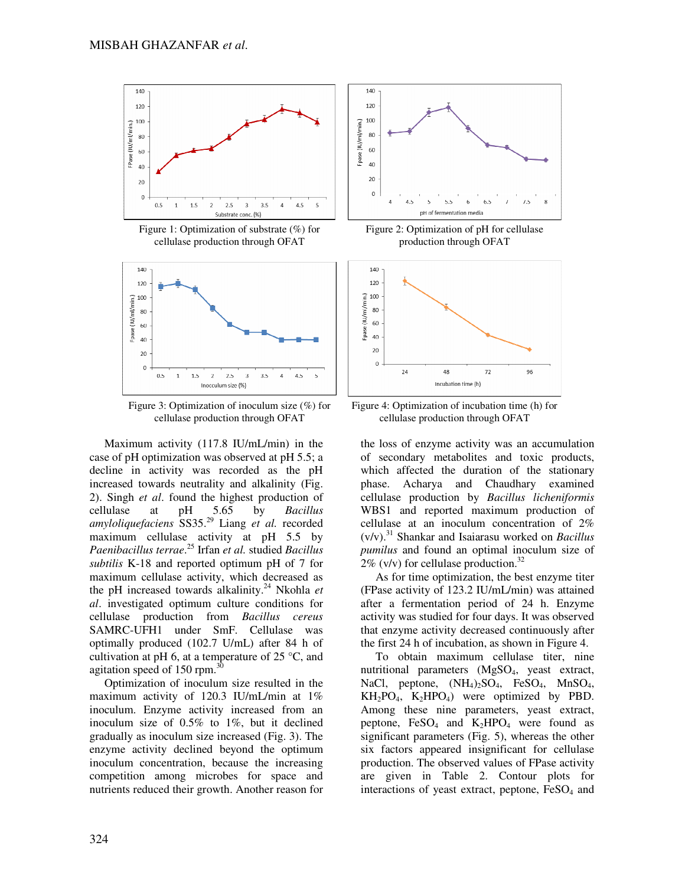

Figure 1: Optimization of substrate (%) for cellulase production through OFAT



Figure 3: Optimization of inoculum size (%) for cellulase production through OFAT

Maximum activity (117.8 IU/mL/min) in the case of pH optimization was observed at pH 5.5; a decline in activity was recorded as the pH increased towards neutrality and alkalinity (Fig. 2). Singh *et al*. found the highest production of cellulase at pH 5.65 by *Bacillus amyloliquefaciens* SS35.<sup>29</sup> Liang *et al.* recorded maximum cellulase activity at pH 5.5 by *Paenibacillus terrae*. <sup>25</sup> Irfan *et al.* studied *Bacillus subtilis* K-18 and reported optimum pH of 7 for maximum cellulase activity, which decreased as the pH increased towards alkalinity.<sup>24</sup> Nkohla *et al*. investigated optimum culture conditions for cellulase production from *Bacillus cereus* SAMRC-UFH1 under SmF. Cellulase was optimally produced (102.7 U/mL) after 84 h of cultivation at pH 6, at a temperature of  $25^{\circ}$ C, and agitation speed of 150 rpm.<sup>30</sup>

Optimization of inoculum size resulted in the maximum activity of 120.3 IU/mL/min at 1% inoculum. Enzyme activity increased from an inoculum size of 0.5% to 1%, but it declined gradually as inoculum size increased (Fig. 3). The enzyme activity declined beyond the optimum inoculum concentration, because the increasing competition among microbes for space and nutrients reduced their growth. Another reason for



Figure 2: Optimization of pH for cellulase production through OFAT



Figure 4: Optimization of incubation time (h) for cellulase production through OFAT

the loss of enzyme activity was an accumulation of secondary metabolites and toxic products, which affected the duration of the stationary phase. Acharya and Chaudhary examined cellulase production by *Bacillus licheniformis* WBS1 and reported maximum production of cellulase at an inoculum concentration of 2% (v/v).<sup>31</sup> Shankar and Isaiarasu worked on *Bacillus pumilus* and found an optimal inoculum size of 2% (v/v) for cellulase production.<sup>32</sup>

As for time optimization, the best enzyme titer (FPase activity of 123.2 IU/mL/min) was attained after a fermentation period of 24 h. Enzyme activity was studied for four days. It was observed that enzyme activity decreased continuously after the first 24 h of incubation, as shown in Figure 4.

To obtain maximum cellulase titer, nine nutritional parameters  $(MgSO<sub>4</sub>,$  yeast extract, NaCl, peptone,  $(NH_4)_2SO_4$ , FeSO<sub>4</sub>, MnSO<sub>4</sub>,  $KH_2PO_4$ ,  $K_2HPO_4$ ) were optimized by PBD. Among these nine parameters, yeast extract, peptone,  $FeSO<sub>4</sub>$  and  $K<sub>2</sub>HPO<sub>4</sub>$  were found as significant parameters (Fig. 5), whereas the other six factors appeared insignificant for cellulase production. The observed values of FPase activity are given in Table 2. Contour plots for interactions of yeast extract, peptone,  $FeSO<sub>4</sub>$  and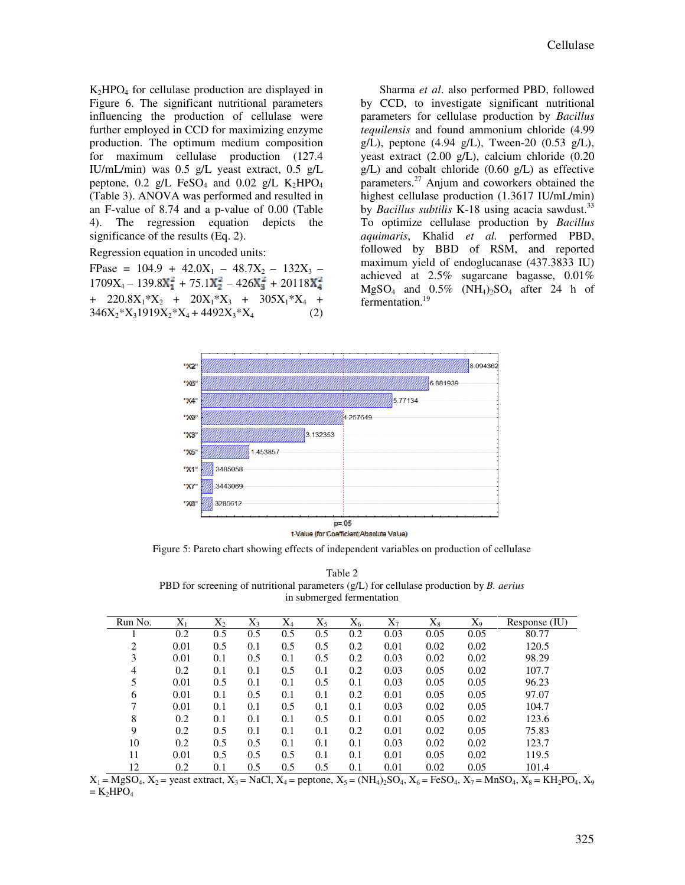$K_2HPO_4$  for cellulase production are displayed in Figure 6. The significant nutritional parameters influencing the production of cellulase were further employed in CCD for maximizing enzyme production. The optimum medium composition for maximum cellulase production (127.4 IU/mL/min) was 0.5 g/L yeast extract, 0.5 g/L peptone, 0.2 g/L FeSO<sub>4</sub> and 0.02 g/L K<sub>2</sub>HPO<sub>4</sub> (Table 3). ANOVA was performed and resulted in an F-value of 8.74 and a p-value of 0.00 (Table 4). The regression equation depicts the significance of the results (Eq. 2).

Regression equation in uncoded units:

FPase =  $104.9 + 42.0X_1 - 48.7X_2 - 132X_3$  –  $1709X_4 - 139.8X_1^2 + 75.1X_2^2 - 426X_3^2 + 20118X_4^2$ +  $220.8X_1 * X_2$  +  $20X_1 * X_3$  +  $305X_1 * X_4$  +  $346X_2^*X_31919X_2^*X_4 + 4492X_3^*X_4$  (2)

Sharma *et al*. also performed PBD, followed by CCD, to investigate significant nutritional parameters for cellulase production by *Bacillus tequilensis* and found ammonium chloride (4.99 g/L), peptone (4.94 g/L), Tween-20 (0.53 g/L), yeast extract (2.00 g/L), calcium chloride (0.20  $g/L$ ) and cobalt chloride (0.60  $g/L$ ) as effective parameters.<sup>27</sup> Anjum and coworkers obtained the highest cellulase production (1.3617 IU/mL/min) by *Bacillus subtilis* K-18 using acacia sawdust.<sup>33</sup> To optimize cellulase production by *Bacillus aquimaris*, Khalid *et al.* performed PBD, followed by BBD of RSM, and reported maximum yield of endoglucanase (437.3833 IU) achieved at 2.5% sugarcane bagasse, 0.01%  $MgSO<sub>4</sub>$  and  $0.5\%$  (NH<sub>4</sub>)<sub>2</sub>SO<sub>4</sub> after 24 h of fermentation.<sup>19</sup>



Figure 5: Pareto chart showing effects of independent variables on production of cellulase

Table 2 PBD for screening of nutritional parameters (g/L) for cellulase production by *B. aerius* in submerged fermentation

| Run No.  | $X_1$ | $X_{2}$ | $X_3$ | $\rm X_4$ | $X_{5}$ | $X_6$ | $X_{7}$ | $X_8$ | $X_{9}$ | Response (IU) |
|----------|-------|---------|-------|-----------|---------|-------|---------|-------|---------|---------------|
|          | 0.2   | 0.5     | 0.5   | 0.5       | 0.5     | 0.2   | 0.03    | 0.05  | 0.05    | 80.77         |
| $\gamma$ | 0.01  | 0.5     | 0.1   | 0.5       | 0.5     | 0.2   | 0.01    | 0.02  | 0.02    | 120.5         |
| 3        | 0.01  | 0.1     | 0.5   | 0.1       | 0.5     | 0.2   | 0.03    | 0.02  | 0.02    | 98.29         |
| 4        | 0.2   | 0.1     | 0.1   | 0.5       | 0.1     | 0.2   | 0.03    | 0.05  | 0.02    | 107.7         |
| 5        | 0.01  | 0.5     | 0.1   | 0.1       | 0.5     | 0.1   | 0.03    | 0.05  | 0.05    | 96.23         |
| 6        | 0.01  | 0.1     | 0.5   | 0.1       | 0.1     | 0.2   | 0.01    | 0.05  | 0.05    | 97.07         |
| 7        | 0.01  | 0.1     | 0.1   | 0.5       | 0.1     | 0.1   | 0.03    | 0.02  | 0.05    | 104.7         |
| 8        | 0.2   | 0.1     | 0.1   | 0.1       | 0.5     | 0.1   | 0.01    | 0.05  | 0.02    | 123.6         |
| 9        | 0.2   | 0.5     | 0.1   | 0.1       | 0.1     | 0.2   | 0.01    | 0.02  | 0.05    | 75.83         |
| 10       | 0.2   | 0.5     | 0.5   | 0.1       | 0.1     | 0.1   | 0.03    | 0.02  | 0.02    | 123.7         |
| 11       | 0.01  | 0.5     | 0.5   | 0.5       | 0.1     | 0.1   | 0.01    | 0.05  | 0.02    | 119.5         |
| 12       | 0.2   | 0.1     | 0.5   | 0.5       | 0.5     | 0.1   | 0.01    | 0.02  | 0.05    | 101.4         |

 $X_1 = MgSO_4$ ,  $X_2$  = yeast extract,  $X_3$  = NaCl,  $X_4$  = peptone,  $X_5$  = (NH<sub>4</sub>)<sub>2</sub>SO<sub>4</sub>,  $X_6$  = FeSO<sub>4</sub>,  $X_7$  = MnSO<sub>4</sub>,  $X_8$  = KH<sub>2</sub>PO<sub>4</sub>,  $X_9$  $= K<sub>2</sub>HPO<sub>4</sub>$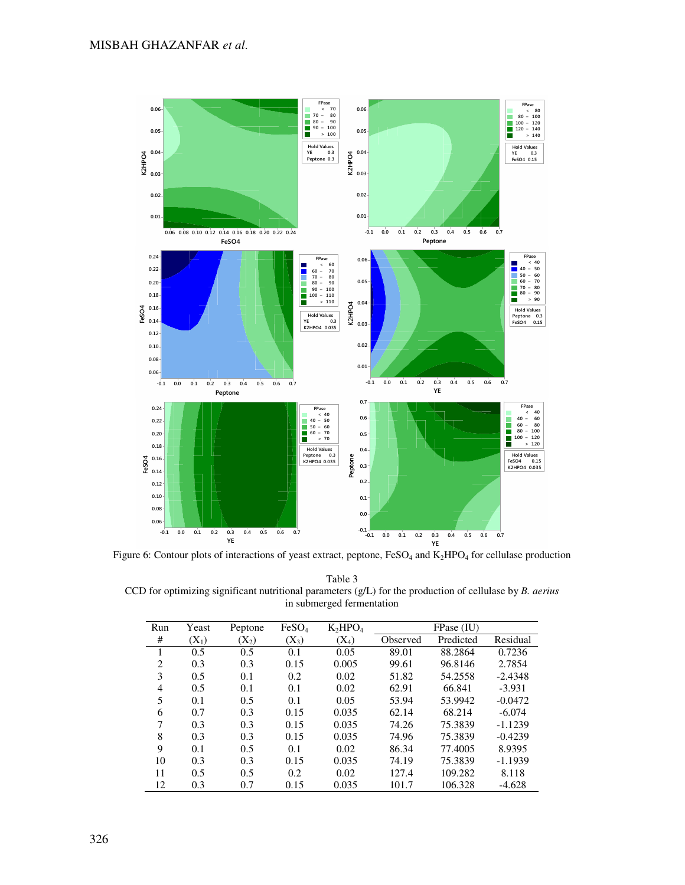

Figure 6: Contour plots of interactions of yeast extract, peptone,  $FesO_4$  and  $K_2HPO_4$  for cellulase production

Table 3 CCD for optimizing significant nutritional parameters (g/L) for the production of cellulase by *B. aerius* in submerged fermentation

| Run            | Yeast   | Peptone | FeSO <sub>4</sub> | $K_2HPO_4$ |          | FPase (IU) |           |
|----------------|---------|---------|-------------------|------------|----------|------------|-----------|
| #              | $(X_1)$ | $(X_2)$ | $(X_3)$           | $(X_4)$    | Observed | Predicted  | Residual  |
| 1              | 0.5     | 0.5     | 0.1               | 0.05       | 89.01    | 88.2864    | 0.7236    |
| 2              | 0.3     | 0.3     | 0.15              | 0.005      | 99.61    | 96.8146    | 2.7854    |
| 3              | 0.5     | 0.1     | 0.2               | 0.02       | 51.82    | 54.2558    | $-2.4348$ |
| $\overline{4}$ | 0.5     | 0.1     | 0.1               | 0.02       | 62.91    | 66.841     | $-3.931$  |
| 5              | 0.1     | 0.5     | 0.1               | 0.05       | 53.94    | 53.9942    | $-0.0472$ |
| 6              | 0.7     | 0.3     | 0.15              | 0.035      | 62.14    | 68.214     | $-6.074$  |
| 7              | 0.3     | 0.3     | 0.15              | 0.035      | 74.26    | 75.3839    | $-1.1239$ |
| 8              | 0.3     | 0.3     | 0.15              | 0.035      | 74.96    | 75.3839    | $-0.4239$ |
| 9              | 0.1     | 0.5     | 0.1               | 0.02       | 86.34    | 77.4005    | 8.9395    |
| 10             | 0.3     | 0.3     | 0.15              | 0.035      | 74.19    | 75.3839    | $-1.1939$ |
| 11             | 0.5     | 0.5     | 0.2               | 0.02       | 127.4    | 109.282    | 8.118     |
| 12             | 0.3     | 0.7     | 0.15              | 0.035      | 101.7    | 106.328    | $-4.628$  |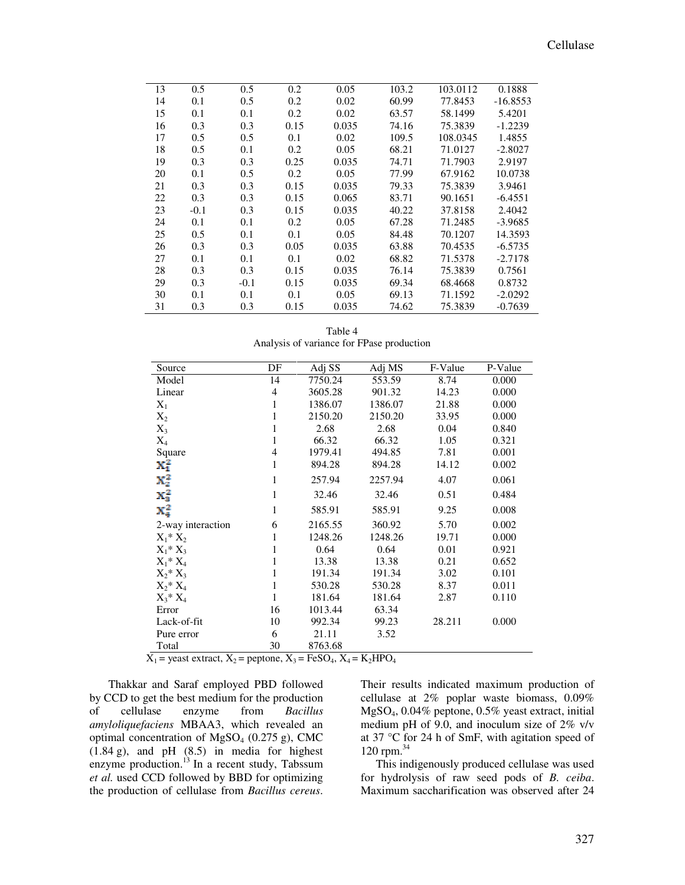# Cellulase

| 13 | 0.5    | 0.5    | 0.2  | 0.05  | 103.2 | 103.0112 | 0.1888     |
|----|--------|--------|------|-------|-------|----------|------------|
| 14 | 0.1    | 0.5    | 0.2  | 0.02  | 60.99 | 77.8453  | $-16.8553$ |
| 15 | 0.1    | 0.1    | 0.2  | 0.02  | 63.57 | 58.1499  | 5.4201     |
| 16 | 0.3    | 0.3    | 0.15 | 0.035 | 74.16 | 75.3839  | $-1.2239$  |
| 17 | 0.5    | 0.5    | 0.1  | 0.02  | 109.5 | 108.0345 | 1.4855     |
| 18 | 0.5    | 0.1    | 0.2  | 0.05  | 68.21 | 71.0127  | $-2.8027$  |
| 19 | 0.3    | 0.3    | 0.25 | 0.035 | 74.71 | 71.7903  | 2.9197     |
| 20 | 0.1    | 0.5    | 0.2  | 0.05  | 77.99 | 67.9162  | 10.0738    |
| 21 | 0.3    | 0.3    | 0.15 | 0.035 | 79.33 | 75.3839  | 3.9461     |
| 22 | 0.3    | 0.3    | 0.15 | 0.065 | 83.71 | 90.1651  | $-6.4551$  |
| 23 | $-0.1$ | 0.3    | 0.15 | 0.035 | 40.22 | 37.8158  | 2.4042     |
| 24 | 0.1    | 0.1    | 0.2  | 0.05  | 67.28 | 71.2485  | $-3.9685$  |
| 25 | 0.5    | 0.1    | 0.1  | 0.05  | 84.48 | 70.1207  | 14.3593    |
| 26 | 0.3    | 0.3    | 0.05 | 0.035 | 63.88 | 70.4535  | $-6.5735$  |
| 27 | 0.1    | 0.1    | 0.1  | 0.02  | 68.82 | 71.5378  | $-2.7178$  |
| 28 | 0.3    | 0.3    | 0.15 | 0.035 | 76.14 | 75.3839  | 0.7561     |
| 29 | 0.3    | $-0.1$ | 0.15 | 0.035 | 69.34 | 68.4668  | 0.8732     |
| 30 | 0.1    | 0.1    | 0.1  | 0.05  | 69.13 | 71.1592  | $-2.0292$  |
| 31 | 0.3    | 0.3    | 0.15 | 0.035 | 74.62 | 75.3839  | $-0.7639$  |
|    |        |        |      |       |       |          |            |

Table 4 Analysis of variance for FPase production

| Source                              | DF                       | Adj SS                       | Adj MS  | F-Value | P-Value |
|-------------------------------------|--------------------------|------------------------------|---------|---------|---------|
| Model                               | 14                       | 7750.24                      | 553.59  | 8.74    | 0.000   |
| Linear                              | 4                        | 3605.28                      | 901.32  | 14.23   | 0.000   |
| $X_1$                               | $\mathbf{1}$             | 1386.07                      | 1386.07 | 21.88   | 0.000   |
| $X_2$                               | $\mathbf{1}$             | 2150.20                      | 2150.20 | 33.95   | 0.000   |
| $X_3$                               | 1                        | 2.68                         | 2.68    | 0.04    | 0.840   |
| $X_4$                               | $\mathbf{1}$             | 66.32                        | 66.32   | 1.05    | 0.321   |
| Square                              | $\overline{\mathcal{L}}$ | 1979.41                      | 494.85  | 7.81    | 0.001   |
| $X_1^2$                             | $\mathbf{1}$             | 894.28                       | 894.28  | 14.12   | 0.002   |
|                                     | 1                        | 257.94                       | 2257.94 | 4.07    | 0.061   |
| $\frac{\text{X}_2^2}{\text{X}_3^2}$ | $\mathbf{1}$             | 32.46                        | 32.46   | 0.51    | 0.484   |
| $X_a^2$                             | $\mathbf{1}$             | 585.91                       | 585.91  | 9.25    | 0.008   |
| 2-way interaction                   | 6                        | 2165.55                      | 360.92  | 5.70    | 0.002   |
| $X_1^* X_2$                         | 1                        | 1248.26                      | 1248.26 | 19.71   | 0.000   |
| $X_1^* X_3$                         | 1                        | 0.64                         | 0.64    | 0.01    | 0.921   |
| $X_1^* X_4$                         | 1                        | 13.38                        | 13.38   | 0.21    | 0.652   |
| $X_2^* X_3$                         | 1                        | 191.34                       | 191.34  | 3.02    | 0.101   |
| $X_2^* X_4$                         | $\mathbf{1}$             | 530.28                       | 530.28  | 8.37    | 0.011   |
| $X_3^* X_4$                         | $\mathbf{1}$             | 181.64                       | 181.64  | 2.87    | 0.110   |
| Error                               | 16                       | 1013.44                      | 63.34   |         |         |
| Lack-of-fit                         | 10                       | 992.34                       | 99.23   | 28.211  | 0.000   |
| Pure error                          | 6                        | 21.11                        | 3.52    |         |         |
| Total<br>inaasta aintua at V        | 30<br>$\mathbf{v}$       | 8763.68<br>$E_{\alpha}$ co v | $V$ IDO |         |         |

 $X_1$  = yeast extract,  $X_2$  = peptone,  $X_3$  = FeSO<sub>4</sub>,  $X_4$  = K<sub>2</sub>HPO<sub>4</sub>

Thakkar and Saraf employed PBD followed by CCD to get the best medium for the production of cellulase enzyme from *Bacillus amyloliquefaciens* MBAA3, which revealed an optimal concentration of  $MgSO<sub>4</sub>$  (0.275 g), CMC  $(1.84 \text{ g})$ , and pH  $(8.5)$  in media for highest enzyme production. $^{13}$  In a recent study, Tabssum *et al.* used CCD followed by BBD for optimizing the production of cellulase from *Bacillus cereus*.

Their results indicated maximum production of cellulase at 2% poplar waste biomass, 0.09% MgSO4, 0.04% peptone, 0.5% yeast extract, initial medium pH of 9.0, and inoculum size of 2% v/v at 37 °C for 24 h of SmF, with agitation speed of 120 rpm.<sup>34</sup>

This indigenously produced cellulase was used for hydrolysis of raw seed pods of *B. ceiba*. Maximum saccharification was observed after 24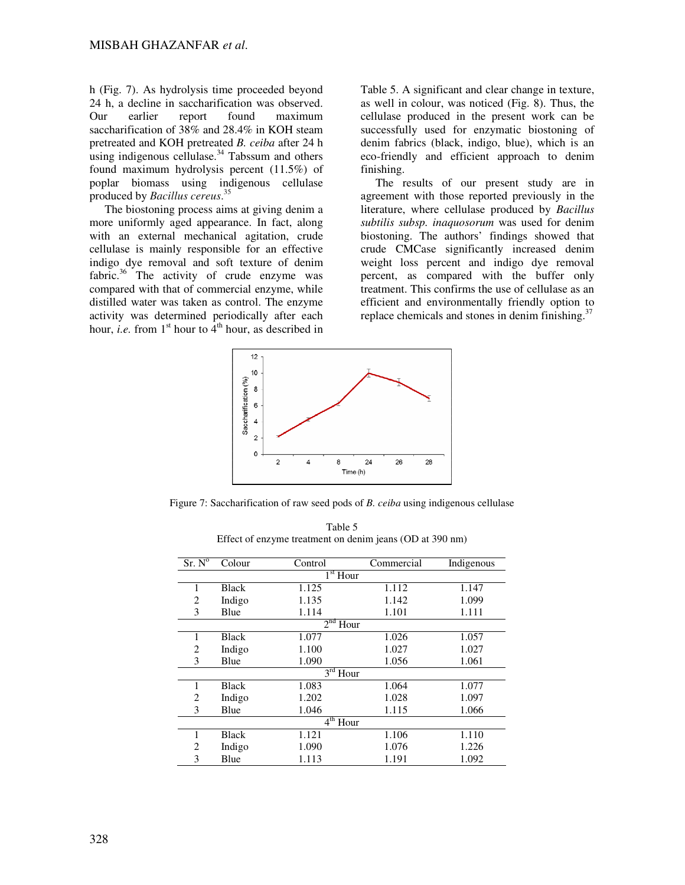h (Fig. 7). As hydrolysis time proceeded beyond 24 h, a decline in saccharification was observed. Our earlier report found maximum saccharification of 38% and 28.4% in KOH steam pretreated and KOH pretreated *B. ceiba* after 24 h using indigenous cellulase. $34$  Tabssum and others found maximum hydrolysis percent (11.5%) of poplar biomass using indigenous cellulase produced by *Bacillus cereus*. 35

The biostoning process aims at giving denim a more uniformly aged appearance. In fact, along with an external mechanical agitation, crude cellulase is mainly responsible for an effective indigo dye removal and soft texture of denim fabric.<sup>36</sup> The activity of crude enzyme was compared with that of commercial enzyme, while distilled water was taken as control. The enzyme activity was determined periodically after each hour, *i.e.* from  $1<sup>st</sup>$  hour to  $4<sup>th</sup>$  hour, as described in

Table 5. A significant and clear change in texture, as well in colour, was noticed (Fig. 8). Thus, the cellulase produced in the present work can be successfully used for enzymatic biostoning of denim fabrics (black, indigo, blue), which is an eco-friendly and efficient approach to denim finishing.

The results of our present study are in agreement with those reported previously in the literature, where cellulase produced by *Bacillus subtilis subsp. inaquosorum* was used for denim biostoning. The authors' findings showed that crude CMCase significantly increased denim weight loss percent and indigo dye removal percent, as compared with the buffer only treatment. This confirms the use of cellulase as an efficient and environmentally friendly option to replace chemicals and stones in denim finishing. $37$ 



Figure 7: Saccharification of raw seed pods of *B. ceiba* using indigenous cellulase

| $Sr. N^{\overline{o}}$  | Colour       | Control | Commercial | Indigenous |  |  |  |  |
|-------------------------|--------------|---------|------------|------------|--|--|--|--|
| $1st$ Hour              |              |         |            |            |  |  |  |  |
| 1                       | <b>Black</b> | 1.125   | 1.112      | 1.147      |  |  |  |  |
| 2                       | Indigo       | 1.135   | 1.142      | 1.099      |  |  |  |  |
| 3                       | Blue         | 1.114   | 1.101      | 1.111      |  |  |  |  |
| 2 <sup>nd</sup><br>Hour |              |         |            |            |  |  |  |  |
| 1                       | Black        | 1.077   | 1.026      | 1.057      |  |  |  |  |
| 2                       | Indigo       | 1.100   | 1.027      | 1.027      |  |  |  |  |
| 3                       | Blue         | 1.090   | 1.056      | 1.061      |  |  |  |  |
| $3^{\text{rd}}$<br>Hour |              |         |            |            |  |  |  |  |
| 1                       | <b>Black</b> | 1.083   | 1.064      | 1.077      |  |  |  |  |
| 2                       | Indigo       | 1.202   | 1.028      | 1.097      |  |  |  |  |
| 3                       | Blue         | 1.046   | 1.115      | 1.066      |  |  |  |  |
| $4th$ Hour              |              |         |            |            |  |  |  |  |
| 1                       | <b>Black</b> | 1.121   | 1.106      | 1.110      |  |  |  |  |
| $\overline{c}$          | Indigo       | 1.090   | 1.076      | 1.226      |  |  |  |  |
| 3                       | Blue         | 1.113   | 1.191      | 1.092      |  |  |  |  |

Table 5 Effect of enzyme treatment on denim jeans (OD at 390 nm)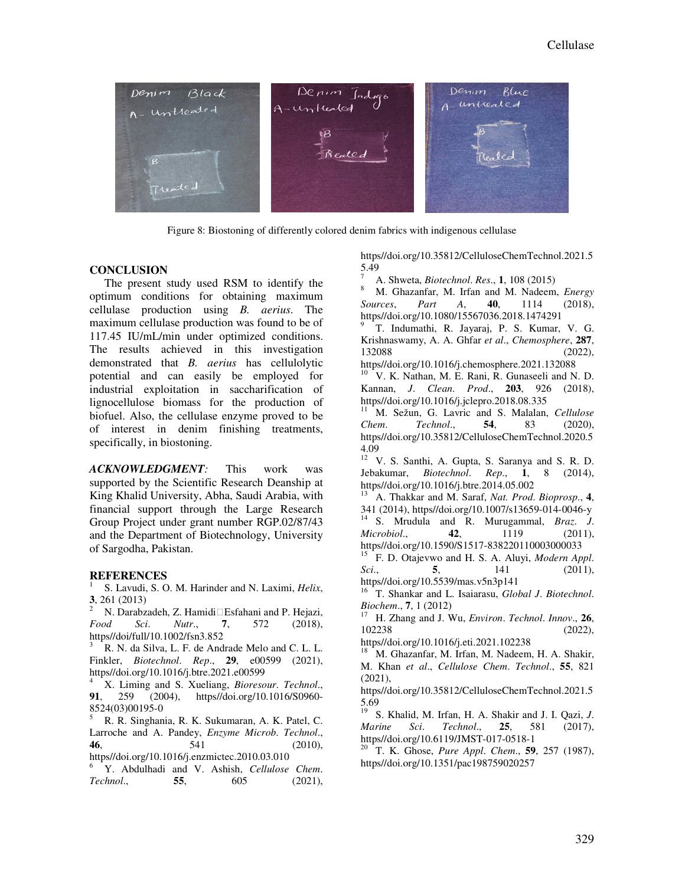

Figure 8: Biostoning of differently colored denim fabrics with indigenous cellulase

### **CONCLUSION**

The present study used RSM to identify the optimum conditions for obtaining maximum cellulase production using *B. aerius*. The maximum cellulase production was found to be of 117.45 IU/mL/min under optimized conditions. The results achieved in this investigation demonstrated that *B. aerius* has cellulolytic potential and can easily be employed for industrial exploitation in saccharification of lignocellulose biomass for the production of biofuel. Also, the cellulase enzyme proved to be of interest in denim finishing treatments, specifically, in biostoning.

*ACKNOWLEDGMENT:* This work was supported by the Scientific Research Deanship at King Khalid University, Abha, Saudi Arabia, with financial support through the Large Research Group Project under grant number RGP.02/87/43 and the Department of Biotechnology, University of Sargodha, Pakistan.

### **REFERENCES**

1 S. Lavudi, S. O. M. Harinder and N. Laximi, *Helix*, **3**, 261 (2013)

N. Darabzadeh, Z. Hamidi Esfahani and P. Hejazi, *Food Sci*. *Nutr*., **7**, 572 (2018), https//doi/full/10.1002/fsn3.852

<sup>3</sup> R. N. da Silva, L. F. de Andrade Melo and C. L. L. Finkler, *Biotechnol*. *Rep*., **29**, e00599 (2021), https//doi.org/10.1016/j.btre.2021.e00599

<sup>4</sup> X. Liming and S. Xueliang, *Bioresour*. *Technol*., **91**, 259 (2004), https//doi.org/10.1016/S0960- 8524(03)00195-0

<sup>5</sup> R. R. Singhania, R. K. Sukumaran, A. K. Patel, C. Larroche and A. Pandey, *Enzyme Microb*. *Technol*., **46**, 541 (2010), https//doi.org/10.1016/j.enzmictec.2010.03.010

<sup>6</sup> Y. Abdulhadi and V. Ashish, *Cellulose Chem*. *Technol*., **55**, 605 (2021), https//doi.org/10.35812/CelluloseChemTechnol.2021.5 5.49

<sup>7</sup> A. Shweta, *Biotechnol*. *Res*., **1**, 108 (2015)

<sup>8</sup> M. Ghazanfar, M. Irfan and M. Nadeem, *Energy Sources*, *Part A*, **40**, 1114 (2018), https//doi.org/10.1080/15567036.2018.1474291

9 T. Indumathi, R. Jayaraj, P. S. Kumar, V. G. Krishnaswamy, A. A. Ghfar *et al*., *Chemosphere*, **287**, 132088 (2022),

https//doi.org/10.1016/j.chemosphere.2021.132088

<sup>10</sup> V. K. Nathan, M. E. Rani, R. Gunaseeli and N. D. Kannan, *J*. *Clean*. *Prod*., **203**, 926 (2018), https//doi.org/10.1016/j.jclepro.2018.08.335

<sup>11</sup> M. Sežun, G. Lavric and S. Malalan, *Cellulose Chem*. *Technol*., **54**, 83 (2020), https//doi.org/10.35812/CelluloseChemTechnol.2020.5 4.09

 $12 V$ . S. Santhi, A. Gupta, S. Saranya and S. R. D. Jebakumar, *Biotechnol*. *Rep*., **1**, 8 (2014), https//doi.org/10.1016/j.btre.2014.05.002

<sup>13</sup> A. Thakkar and M. Saraf, *Nat. Prod*. *Bioprosp*., **4**, 341 (2014), https//doi.org/10.1007/s13659-014-0046-y <sup>14</sup> S. Mrudula and R. Murugammal, *Braz*. *J*. *Microbiol*., **42**, 1119 (2011), https//doi.org/10.1590/S1517-838220110003000033

<sup>15</sup> F. D. Otajevwo and H. S. A. Aluyi, *Modern Appl*. *Sci*., **5**, 141 (2011), https//doi.org/10.5539/mas.v5n3p141

<sup>16</sup> T. Shankar and L. Isaiarasu, *Global J*. *Biotechnol*. *Biochem*., **7**, 1 (2012)

<sup>17</sup> H. Zhang and J. Wu, *Environ*. *Technol*. *Innov*., **26**, 102238 (2022),

https//doi.org/10.1016/j.eti.2021.102238

<sup>18</sup> M. Ghazanfar, M. Irfan, M. Nadeem, H. A. Shakir, M. Khan *et al*., *Cellulose Chem*. *Technol*., **55**, 821 (2021),

https//doi.org/10.35812/CelluloseChemTechnol.2021.5 5.69

<sup>19</sup> S. Khalid, M. Irfan, H. A. Shakir and J. I. Qazi, *J*. *Marine Sci*. *Technol*., **25**, 581 (2017), https//doi.org/10.6119/JMST-017-0518-1

<sup>20</sup> T. K. Ghose, *Pure Appl*. *Chem*., **59**, 257 (1987), https//doi.org/10.1351/pac198759020257